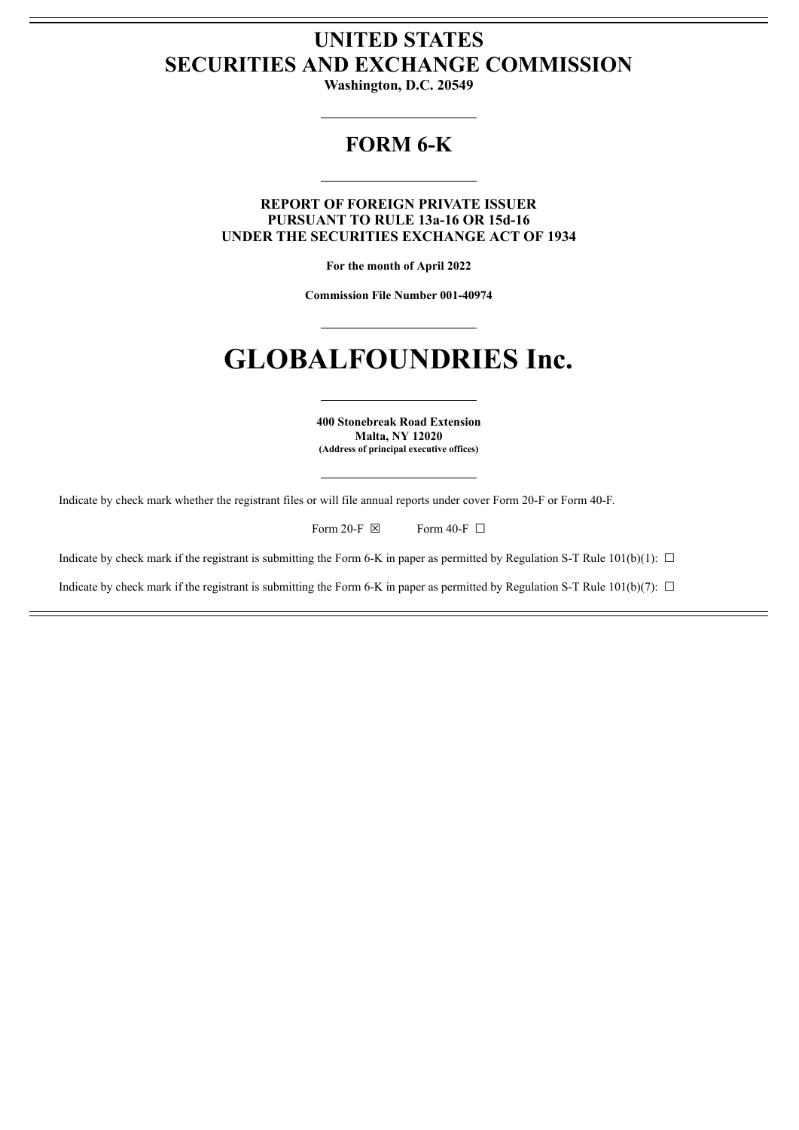# **UNITED STATES SECURITIES AND EXCHANGE COMMISSION**

**Washington, D.C. 20549**

# **FORM 6-K**

**REPORT OF FOREIGN PRIVATE ISSUER PURSUANT TO RULE 13a-16 OR 15d-16 UNDER THE SECURITIES EXCHANGE ACT OF 1934**

**For the month of April 2022**

**Commission File Number 001-40974**

# **GLOBALFOUNDRIES Inc.**

**400 Stonebreak Road Extension Malta, NY 12020 (Address of principal executive offices)**

Indicate by check mark whether the registrant files or will file annual reports under cover Form 20-F or Form 40-F.

Form 20-F  $\boxtimes$  Form 40-F  $\Box$ 

Indicate by check mark if the registrant is submitting the Form 6-K in paper as permitted by Regulation S-T Rule  $101(b)(1)$ :  $\Box$ 

Indicate by check mark if the registrant is submitting the Form 6-K in paper as permitted by Regulation S-T Rule 101(b)(7):  $\Box$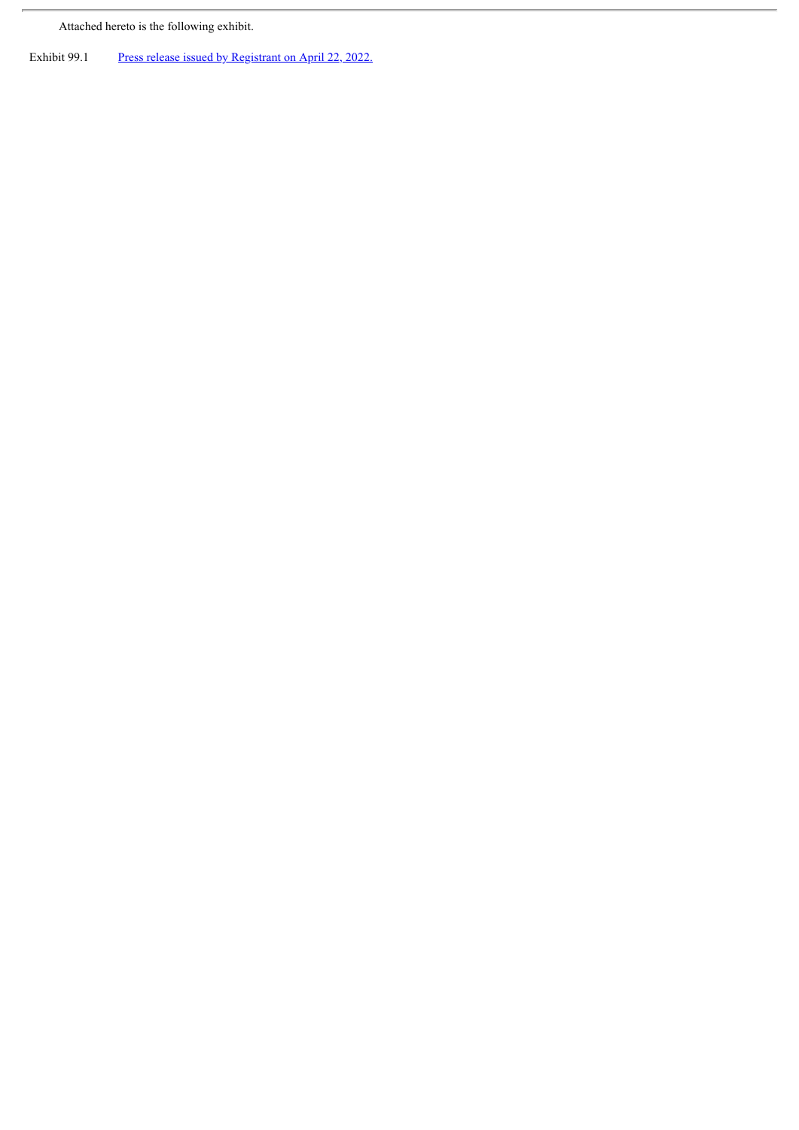Attached hereto is the following exhibit.

 $\overline{r}$ 

Exhibit 99.1 Press release issued by [Registrant](#page-3-0) on April 22, 2022.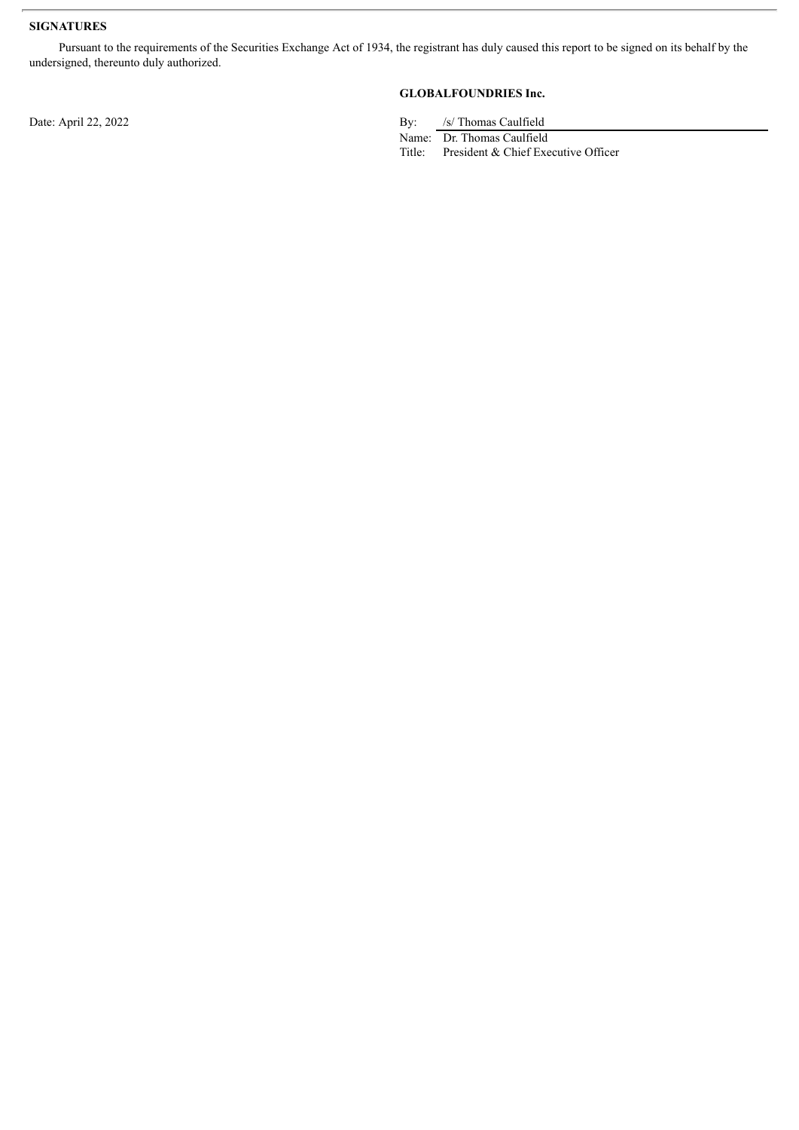## **SIGNATURES**

Pursuant to the requirements of the Securities Exchange Act of 1934, the registrant has duly caused this report to be signed on its behalf by the undersigned, thereunto duly authorized.

# **GLOBALFOUNDRIES Inc.**

Date: April 22, 2022 By: /s/ Thomas Caulfield

Name: Dr. Thomas Caulfield

Title: President & Chief Executive Officer